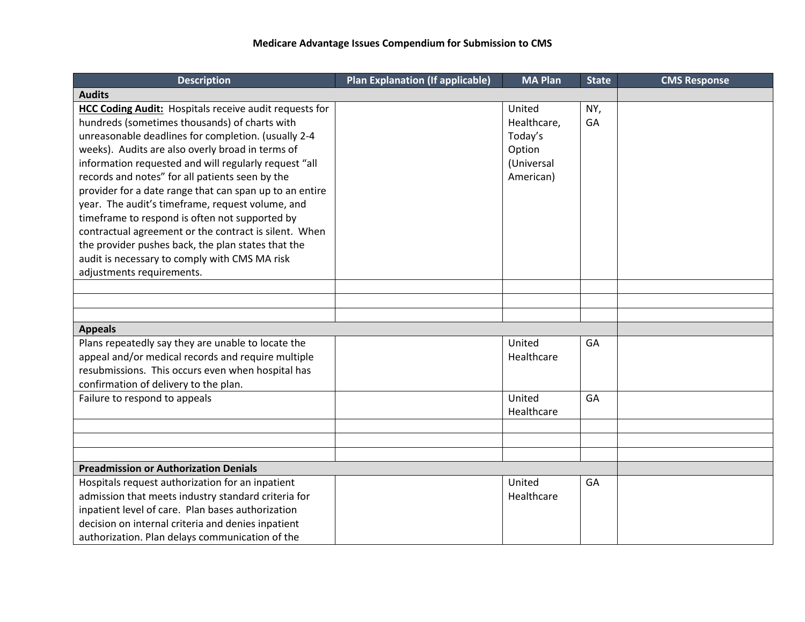| <b>Description</b>                                                                                                                                                                                                                                                                                                                                                                                                                                                                                                                                                                                                                                                                                  | <b>Plan Explanation (If applicable)</b> | <b>MA Plan</b>                                                        | <b>State</b> | <b>CMS Response</b> |
|-----------------------------------------------------------------------------------------------------------------------------------------------------------------------------------------------------------------------------------------------------------------------------------------------------------------------------------------------------------------------------------------------------------------------------------------------------------------------------------------------------------------------------------------------------------------------------------------------------------------------------------------------------------------------------------------------------|-----------------------------------------|-----------------------------------------------------------------------|--------------|---------------------|
| <b>Audits</b>                                                                                                                                                                                                                                                                                                                                                                                                                                                                                                                                                                                                                                                                                       |                                         |                                                                       |              |                     |
| <b>HCC Coding Audit:</b> Hospitals receive audit requests for<br>hundreds (sometimes thousands) of charts with<br>unreasonable deadlines for completion. (usually 2-4<br>weeks). Audits are also overly broad in terms of<br>information requested and will regularly request "all<br>records and notes" for all patients seen by the<br>provider for a date range that can span up to an entire<br>year. The audit's timeframe, request volume, and<br>timeframe to respond is often not supported by<br>contractual agreement or the contract is silent. When<br>the provider pushes back, the plan states that the<br>audit is necessary to comply with CMS MA risk<br>adjustments requirements. |                                         | United<br>Healthcare,<br>Today's<br>Option<br>(Universal<br>American) | NY,<br>GA    |                     |
|                                                                                                                                                                                                                                                                                                                                                                                                                                                                                                                                                                                                                                                                                                     |                                         |                                                                       |              |                     |
|                                                                                                                                                                                                                                                                                                                                                                                                                                                                                                                                                                                                                                                                                                     |                                         |                                                                       |              |                     |
|                                                                                                                                                                                                                                                                                                                                                                                                                                                                                                                                                                                                                                                                                                     |                                         |                                                                       |              |                     |
| <b>Appeals</b>                                                                                                                                                                                                                                                                                                                                                                                                                                                                                                                                                                                                                                                                                      |                                         |                                                                       |              |                     |
| Plans repeatedly say they are unable to locate the<br>appeal and/or medical records and require multiple<br>resubmissions. This occurs even when hospital has<br>confirmation of delivery to the plan.                                                                                                                                                                                                                                                                                                                                                                                                                                                                                              |                                         | United<br>Healthcare                                                  | GA           |                     |
| Failure to respond to appeals                                                                                                                                                                                                                                                                                                                                                                                                                                                                                                                                                                                                                                                                       |                                         | United<br>Healthcare                                                  | GA           |                     |
|                                                                                                                                                                                                                                                                                                                                                                                                                                                                                                                                                                                                                                                                                                     |                                         |                                                                       |              |                     |
|                                                                                                                                                                                                                                                                                                                                                                                                                                                                                                                                                                                                                                                                                                     |                                         |                                                                       |              |                     |
|                                                                                                                                                                                                                                                                                                                                                                                                                                                                                                                                                                                                                                                                                                     |                                         |                                                                       |              |                     |
| <b>Preadmission or Authorization Denials</b>                                                                                                                                                                                                                                                                                                                                                                                                                                                                                                                                                                                                                                                        |                                         |                                                                       |              |                     |
| Hospitals request authorization for an inpatient<br>admission that meets industry standard criteria for<br>inpatient level of care. Plan bases authorization<br>decision on internal criteria and denies inpatient<br>authorization. Plan delays communication of the                                                                                                                                                                                                                                                                                                                                                                                                                               |                                         | United<br>Healthcare                                                  | GA           |                     |